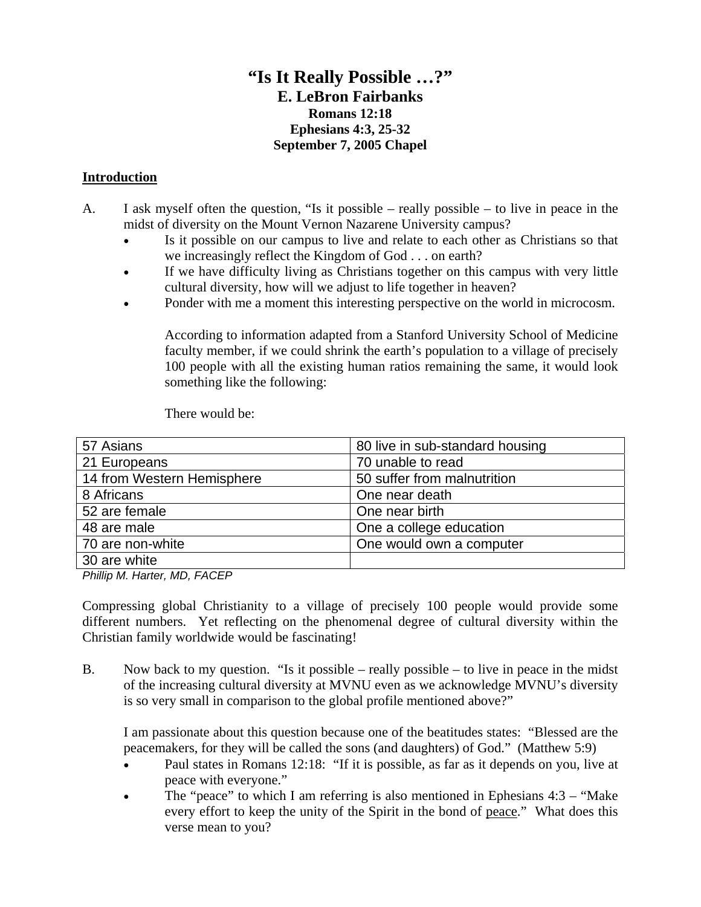# **"Is It Really Possible …?" E. LeBron Fairbanks Romans 12:18 Ephesians 4:3, 25-32 September 7, 2005 Chapel**

#### **Introduction**

- A. I ask myself often the question, "Is it possible really possible to live in peace in the midst of diversity on the Mount Vernon Nazarene University campus?
	- Is it possible on our campus to live and relate to each other as Christians so that we increasingly reflect the Kingdom of God . . . on earth?
	- If we have difficulty living as Christians together on this campus with very little cultural diversity, how will we adjust to life together in heaven?
	- Ponder with me a moment this interesting perspective on the world in microcosm.

According to information adapted from a Stanford University School of Medicine faculty member, if we could shrink the earth's population to a village of precisely 100 people with all the existing human ratios remaining the same, it would look something like the following:

There would be:

| 57 Asians                  | 80 live in sub-standard housing |
|----------------------------|---------------------------------|
| 21 Europeans               | 70 unable to read               |
| 14 from Western Hemisphere | 50 suffer from malnutrition     |
| 8 Africans                 | One near death                  |
| 52 are female              | One near birth                  |
| 48 are male                | One a college education         |
| 70 are non-white           | One would own a computer        |
| 30 are white               |                                 |

*Phillip M. Harter, MD, FACEP*

Compressing global Christianity to a village of precisely 100 people would provide some different numbers. Yet reflecting on the phenomenal degree of cultural diversity within the Christian family worldwide would be fascinating!

B. Now back to my question. "Is it possible – really possible – to live in peace in the midst of the increasing cultural diversity at MVNU even as we acknowledge MVNU's diversity is so very small in comparison to the global profile mentioned above?"

I am passionate about this question because one of the beatitudes states: "Blessed are the peacemakers, for they will be called the sons (and daughters) of God." (Matthew 5:9)

- Paul states in Romans 12:18: "If it is possible, as far as it depends on you, live at peace with everyone."
- The "peace" to which I am referring is also mentioned in Ephesians  $4:3 -$  "Make" every effort to keep the unity of the Spirit in the bond of peace." What does this verse mean to you?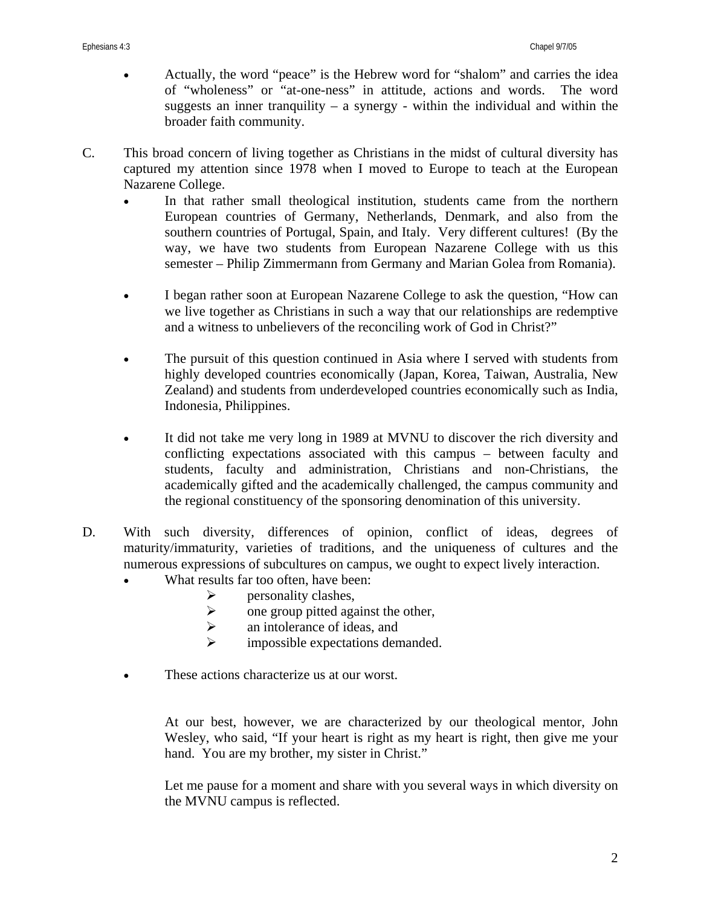- Actually, the word "peace" is the Hebrew word for "shalom" and carries the idea of "wholeness" or "at-one-ness" in attitude, actions and words. The word suggests an inner tranquility – a synergy - within the individual and within the broader faith community.
- C. This broad concern of living together as Christians in the midst of cultural diversity has captured my attention since 1978 when I moved to Europe to teach at the European Nazarene College.
	- In that rather small theological institution, students came from the northern European countries of Germany, Netherlands, Denmark, and also from the southern countries of Portugal, Spain, and Italy. Very different cultures! (By the way, we have two students from European Nazarene College with us this semester – Philip Zimmermann from Germany and Marian Golea from Romania).
	- I began rather soon at European Nazarene College to ask the question, "How can we live together as Christians in such a way that our relationships are redemptive and a witness to unbelievers of the reconciling work of God in Christ?"
	- The pursuit of this question continued in Asia where I served with students from highly developed countries economically (Japan, Korea, Taiwan, Australia, New Zealand) and students from underdeveloped countries economically such as India, Indonesia, Philippines.
	- It did not take me very long in 1989 at MVNU to discover the rich diversity and conflicting expectations associated with this campus – between faculty and students, faculty and administration, Christians and non-Christians, the academically gifted and the academically challenged, the campus community and the regional constituency of the sponsoring denomination of this university.
- D. With such diversity, differences of opinion, conflict of ideas, degrees of maturity/immaturity, varieties of traditions, and the uniqueness of cultures and the numerous expressions of subcultures on campus, we ought to expect lively interaction.
	- What results far too often, have been:
		- $\triangleright$  personality clashes,
			- $\triangleright$  one group pitted against the other,
			- $\triangleright$  an intolerance of ideas, and
			- $\triangleright$  impossible expectations demanded.
	- These actions characterize us at our worst.

At our best, however, we are characterized by our theological mentor, John Wesley, who said, "If your heart is right as my heart is right, then give me your hand. You are my brother, my sister in Christ."

Let me pause for a moment and share with you several ways in which diversity on the MVNU campus is reflected.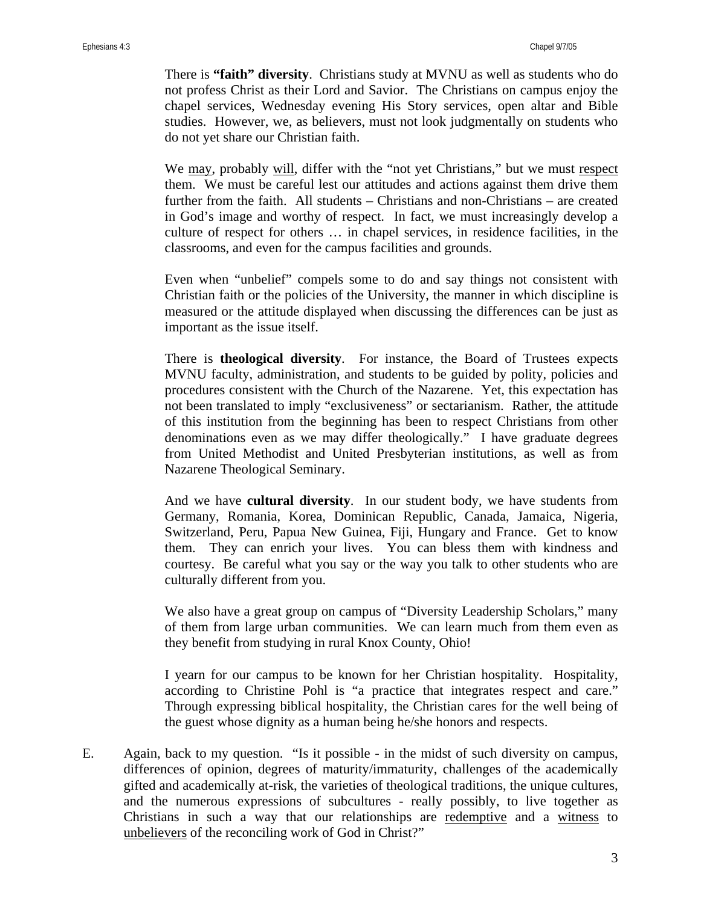There is **"faith" diversity**. Christians study at MVNU as well as students who do not profess Christ as their Lord and Savior. The Christians on campus enjoy the chapel services, Wednesday evening His Story services, open altar and Bible studies. However, we, as believers, must not look judgmentally on students who do not yet share our Christian faith.

We may, probably will, differ with the "not yet Christians," but we must respect them. We must be careful lest our attitudes and actions against them drive them further from the faith. All students – Christians and non-Christians – are created in God's image and worthy of respect. In fact, we must increasingly develop a culture of respect for others … in chapel services, in residence facilities, in the classrooms, and even for the campus facilities and grounds.

Even when "unbelief" compels some to do and say things not consistent with Christian faith or the policies of the University, the manner in which discipline is measured or the attitude displayed when discussing the differences can be just as important as the issue itself.

There is **theological diversity**. For instance, the Board of Trustees expects MVNU faculty, administration, and students to be guided by polity, policies and procedures consistent with the Church of the Nazarene. Yet, this expectation has not been translated to imply "exclusiveness" or sectarianism. Rather, the attitude of this institution from the beginning has been to respect Christians from other denominations even as we may differ theologically." I have graduate degrees from United Methodist and United Presbyterian institutions, as well as from Nazarene Theological Seminary.

And we have **cultural diversity**. In our student body, we have students from Germany, Romania, Korea, Dominican Republic, Canada, Jamaica, Nigeria, Switzerland, Peru, Papua New Guinea, Fiji, Hungary and France. Get to know them. They can enrich your lives. You can bless them with kindness and courtesy. Be careful what you say or the way you talk to other students who are culturally different from you.

We also have a great group on campus of "Diversity Leadership Scholars," many of them from large urban communities. We can learn much from them even as they benefit from studying in rural Knox County, Ohio!

I yearn for our campus to be known for her Christian hospitality. Hospitality, according to Christine Pohl is "a practice that integrates respect and care." Through expressing biblical hospitality, the Christian cares for the well being of the guest whose dignity as a human being he/she honors and respects.

E. Again, back to my question. "Is it possible - in the midst of such diversity on campus, differences of opinion, degrees of maturity/immaturity, challenges of the academically gifted and academically at-risk, the varieties of theological traditions, the unique cultures, and the numerous expressions of subcultures - really possibly, to live together as Christians in such a way that our relationships are redemptive and a witness to unbelievers of the reconciling work of God in Christ?"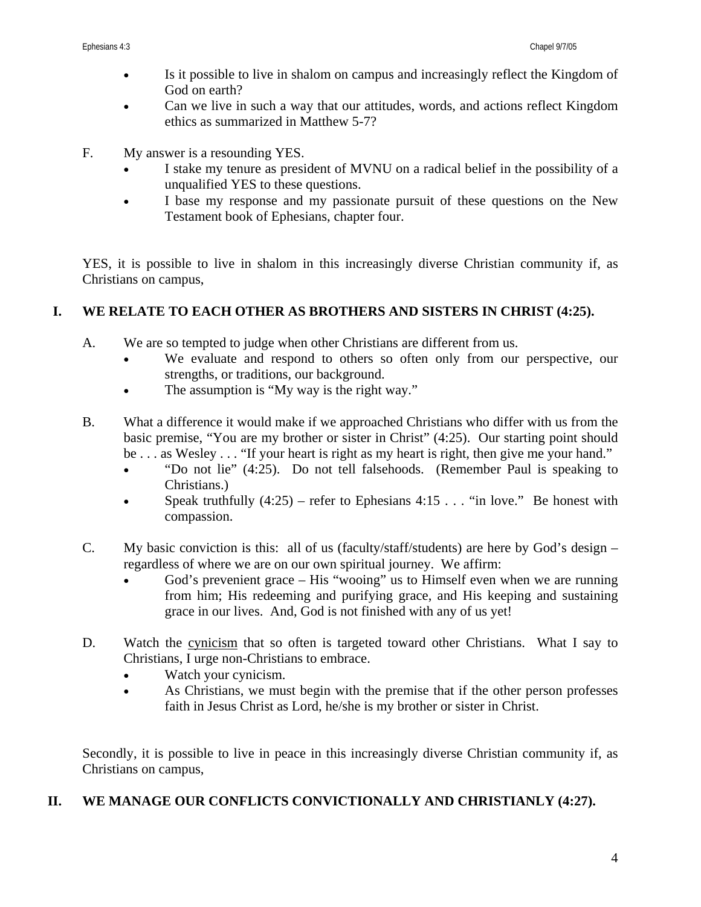- Is it possible to live in shalom on campus and increasingly reflect the Kingdom of God on earth?
- Can we live in such a way that our attitudes, words, and actions reflect Kingdom ethics as summarized in Matthew 5-7?
- F. My answer is a resounding YES.
	- I stake my tenure as president of MVNU on a radical belief in the possibility of a unqualified YES to these questions.
	- I base my response and my passionate pursuit of these questions on the New Testament book of Ephesians, chapter four.

YES, it is possible to live in shalom in this increasingly diverse Christian community if, as Christians on campus,

## **I. WE RELATE TO EACH OTHER AS BROTHERS AND SISTERS IN CHRIST (4:25).**

- A. We are so tempted to judge when other Christians are different from us.
	- We evaluate and respond to others so often only from our perspective, our strengths, or traditions, our background.
	- The assumption is "My way is the right way."
- B. What a difference it would make if we approached Christians who differ with us from the basic premise, "You are my brother or sister in Christ" (4:25). Our starting point should be . . . as Wesley . . . "If your heart is right as my heart is right, then give me your hand."
	- "Do not lie" (4:25). Do not tell falsehoods. (Remember Paul is speaking to Christians.)
	- Speak truthfully  $(4:25)$  refer to Ephesians  $4:15...$  "in love." Be honest with compassion.
- C. My basic conviction is this: all of us (faculty/staff/students) are here by God's design regardless of where we are on our own spiritual journey. We affirm:
	- God's prevenient grace His "wooing" us to Himself even when we are running from him; His redeeming and purifying grace, and His keeping and sustaining grace in our lives. And, God is not finished with any of us yet!
- D. Watch the cynicism that so often is targeted toward other Christians. What I say to Christians, I urge non-Christians to embrace.
	- Watch your cynicism.
	- As Christians, we must begin with the premise that if the other person professes faith in Jesus Christ as Lord, he/she is my brother or sister in Christ.

Secondly, it is possible to live in peace in this increasingly diverse Christian community if, as Christians on campus,

### **II. WE MANAGE OUR CONFLICTS CONVICTIONALLY AND CHRISTIANLY (4:27).**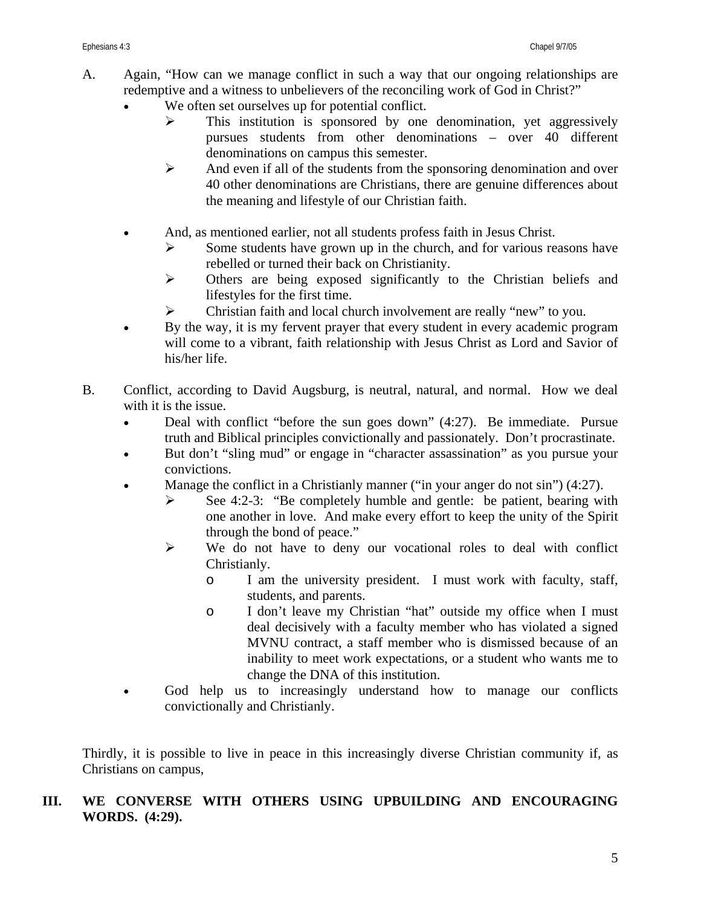- A. Again, "How can we manage conflict in such a way that our ongoing relationships are redemptive and a witness to unbelievers of the reconciling work of God in Christ?"
	- We often set ourselves up for potential conflict.
		- $\triangleright$  This institution is sponsored by one denomination, yet aggressively pursues students from other denominations – over 40 different denominations on campus this semester.
		- $\triangleright$  And even if all of the students from the sponsoring denomination and over 40 other denominations are Christians, there are genuine differences about the meaning and lifestyle of our Christian faith.
	- And, as mentioned earlier, not all students profess faith in Jesus Christ.
		- $\triangleright$  Some students have grown up in the church, and for various reasons have rebelled or turned their back on Christianity.
		- ¾ Others are being exposed significantly to the Christian beliefs and lifestyles for the first time.
		- ¾ Christian faith and local church involvement are really "new" to you.
	- By the way, it is my fervent prayer that every student in every academic program will come to a vibrant, faith relationship with Jesus Christ as Lord and Savior of his/her life.
- B. Conflict, according to David Augsburg, is neutral, natural, and normal. How we deal with it is the issue.
	- Deal with conflict "before the sun goes down" (4:27). Be immediate. Pursue truth and Biblical principles convictionally and passionately. Don't procrastinate.
	- But don't "sling mud" or engage in "character assassination" as you pursue your convictions.
	- Manage the conflict in a Christianly manner ("in your anger do not sin") (4:27).
		- $\triangleright$  See 4:2-3: "Be completely humble and gentle: be patient, bearing with one another in love. And make every effort to keep the unity of the Spirit through the bond of peace."
		- ¾ We do not have to deny our vocational roles to deal with conflict Christianly.
			- o I am the university president. I must work with faculty, staff, students, and parents.
			- o I don't leave my Christian "hat" outside my office when I must deal decisively with a faculty member who has violated a signed MVNU contract, a staff member who is dismissed because of an inability to meet work expectations, or a student who wants me to change the DNA of this institution.
	- God help us to increasingly understand how to manage our conflicts convictionally and Christianly.

Thirdly, it is possible to live in peace in this increasingly diverse Christian community if, as Christians on campus,

## **III. WE CONVERSE WITH OTHERS USING UPBUILDING AND ENCOURAGING WORDS. (4:29).**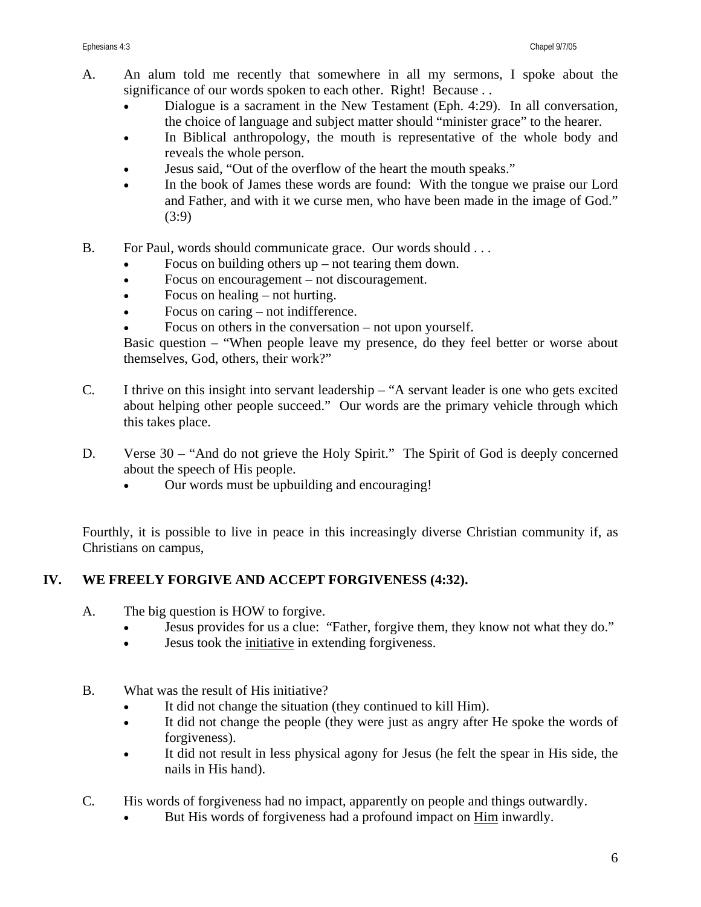- A. An alum told me recently that somewhere in all my sermons, I spoke about the significance of our words spoken to each other. Right! Because ...
	- Dialogue is a sacrament in the New Testament (Eph. 4:29). In all conversation, the choice of language and subject matter should "minister grace" to the hearer.
	- In Biblical anthropology, the mouth is representative of the whole body and reveals the whole person.
	- Jesus said, "Out of the overflow of the heart the mouth speaks."
	- In the book of James these words are found: With the tongue we praise our Lord and Father, and with it we curse men, who have been made in the image of God." (3:9)
- B. For Paul, words should communicate grace. Our words should ...
	- Focus on building others  $up$  not tearing them down.
	- Focus on encouragement not discouragement.
	- Focus on healing not hurting.
	- Focus on caring not indifference.
	- Focus on others in the conversation not upon yourself.

Basic question – "When people leave my presence, do they feel better or worse about themselves, God, others, their work?"

- C. I thrive on this insight into servant leadership "A servant leader is one who gets excited about helping other people succeed." Our words are the primary vehicle through which this takes place.
- D. Verse 30 "And do not grieve the Holy Spirit." The Spirit of God is deeply concerned about the speech of His people.
	- Our words must be upbuilding and encouraging!

Fourthly, it is possible to live in peace in this increasingly diverse Christian community if, as Christians on campus,

# **IV. WE FREELY FORGIVE AND ACCEPT FORGIVENESS (4:32).**

- A. The big question is HOW to forgive.
	- Jesus provides for us a clue: "Father, forgive them, they know not what they do."
	- Jesus took the initiative in extending forgiveness.
- B. What was the result of His initiative?
	- It did not change the situation (they continued to kill Him).
	- It did not change the people (they were just as angry after He spoke the words of forgiveness).
	- It did not result in less physical agony for Jesus (he felt the spear in His side, the nails in His hand).
- C. His words of forgiveness had no impact, apparently on people and things outwardly.
	- But His words of forgiveness had a profound impact on Him inwardly.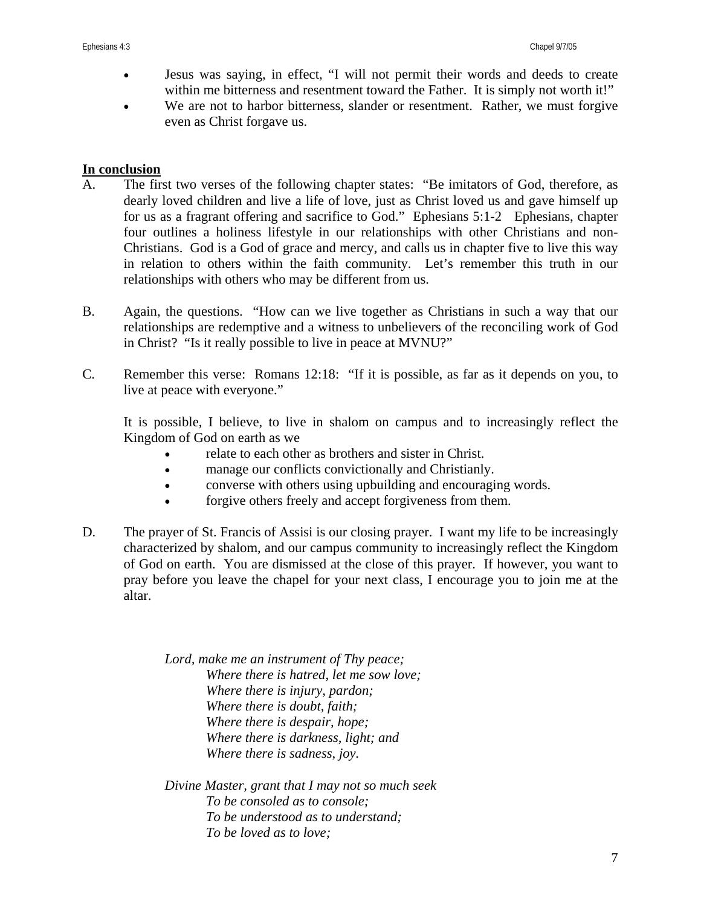- Jesus was saying, in effect, "I will not permit their words and deeds to create within me bitterness and resentment toward the Father. It is simply not worth it!"
- We are not to harbor bitterness, slander or resentment. Rather, we must forgive even as Christ forgave us.

#### **In conclusion**

- A. The first two verses of the following chapter states: "Be imitators of God, therefore, as dearly loved children and live a life of love, just as Christ loved us and gave himself up for us as a fragrant offering and sacrifice to God." Ephesians 5:1-2 Ephesians, chapter four outlines a holiness lifestyle in our relationships with other Christians and non-Christians. God is a God of grace and mercy, and calls us in chapter five to live this way in relation to others within the faith community. Let's remember this truth in our relationships with others who may be different from us.
- B. Again, the questions. "How can we live together as Christians in such a way that our relationships are redemptive and a witness to unbelievers of the reconciling work of God in Christ? "Is it really possible to live in peace at MVNU?"
- C. Remember this verse: Romans 12:18: "If it is possible, as far as it depends on you, to live at peace with everyone."

It is possible, I believe, to live in shalom on campus and to increasingly reflect the Kingdom of God on earth as we

- relate to each other as brothers and sister in Christ.
- manage our conflicts convictionally and Christianly.
- converse with others using upbuilding and encouraging words.
- forgive others freely and accept forgiveness from them.
- D. The prayer of St. Francis of Assisi is our closing prayer. I want my life to be increasingly characterized by shalom, and our campus community to increasingly reflect the Kingdom of God on earth. You are dismissed at the close of this prayer. If however, you want to pray before you leave the chapel for your next class, I encourage you to join me at the altar.

*Lord, make me an instrument of Thy peace; Where there is hatred, let me sow love; Where there is injury, pardon; Where there is doubt, faith; Where there is despair, hope; Where there is darkness, light; and Where there is sadness, joy.* 

*Divine Master, grant that I may not so much seek To be consoled as to console; To be understood as to understand; To be loved as to love;*